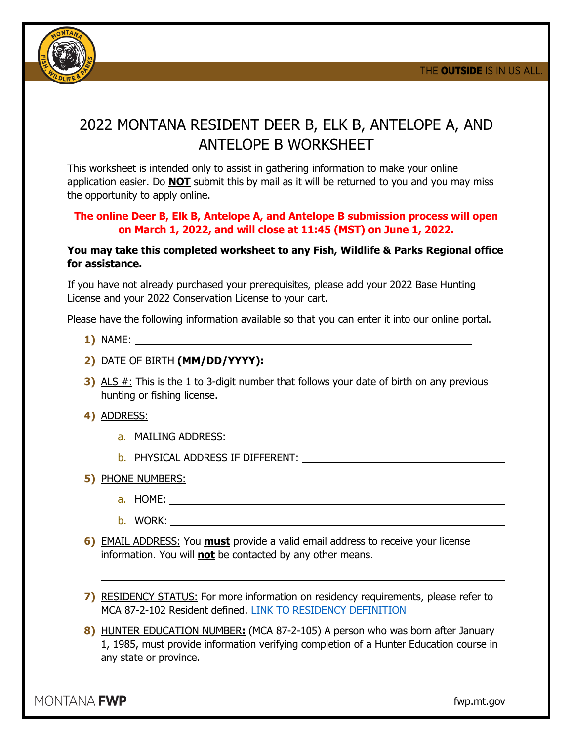

## 2022 MONTANA RESIDENT DEER B, ELK B, ANTELOPE A, AND ANTELOPE B WORKSHEET

This worksheet is intended only to assist in gathering information to make your online application easier. Do **NOT** submit this by mail as it will be returned to you and you may miss the opportunity to apply online.

## **The online Deer B, Elk B, Antelope A, and Antelope B submission process will open on March 1, 2022, and will close at 11:45 (MST) on June 1, 2022.**

## **You may take this completed worksheet to any Fish, Wildlife & Parks Regional office for assistance.**

If you have not already purchased your prerequisites, please add your 2022 Base Hunting License and your 2022 Conservation License to your cart.

Please have the following information available so that you can enter it into our online portal.

- **1)** NAME:
- **2)** DATE OF BIRTH **(MM/DD/YYYY):**
- **3)** ALS #: This is the 1 to 3-digit number that follows your date of birth on any previous hunting or fishing license.
- **4)** ADDRESS:
	- a. MAILING ADDRESS:
	- b. PHYSICAL ADDRESS IF DIFFERENT:
- **5)** PHONE NUMBERS:
	- a. HOME:
	- b. WORK:
- **6)** EMAIL ADDRESS: You **must** provide a valid email address to receive your license information. You will **not** be contacted by any other means.
- **7)** RESIDENCY STATUS: For more information on residency requirements, please refer to MCA 87-2-102 Resident defined. [LINK TO RESIDENCY DEFINITION](https://somcallcenter.mt.gov/Reporting/Realtime/Displays/Collection.asp?D=fwp_collection|somcallcenter.mt.gov|9|AACC|Private_Collection|6)
- **8)** HUNTER EDUCATION NUMBER**:** (MCA 87-2-105) A person who was born after January 1, 1985, must provide information verifying completion of a Hunter Education course in any state or province.

MONTANA **FWP** 

fwp.mt.gov